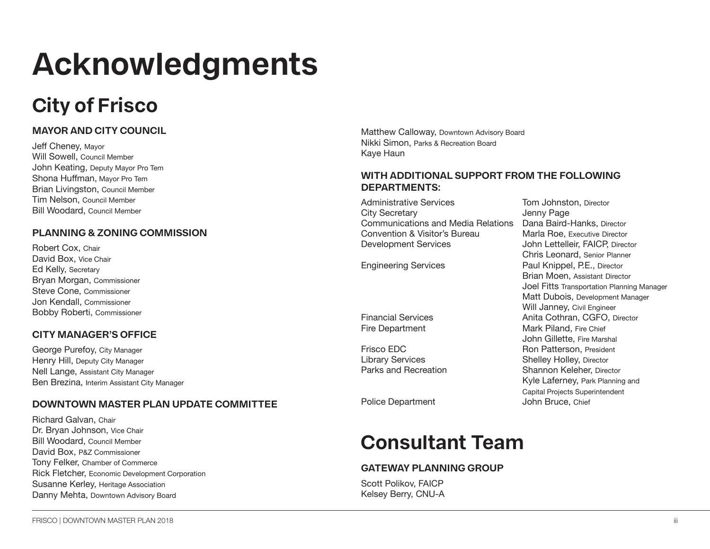# **Acknowledgments**

## **City of Frisco**

### **MAYOR AND CITY COUNCIL**

Jeff Cheney, Mayor Will Sowell, Council Member John Keating, Deputy Mayor Pro Tem Shona Huffman, Mayor Pro Tem Brian Livingston, Council Member Tim Nelson, Council Member Bill Woodard, Council Member

### **PLANNING & ZONING COMMISSION**

Robert Cox, Chair David Box, Vice Chair Ed Kelly, Secretary Bryan Morgan, Commissioner Steve Cone, Commissioner Jon Kendall, Commissioner Bobby Roberti, Commissioner

### **CITY MANAGER'S OFFICE**

George Purefoy, City Manager Henry Hill, Deputy City Manager Nell Lange, Assistant City Manager Ben Brezina, Interim Assistant City Manager

### **DOWNTOWN MASTER PLAN UPDATE COMMITTEE**

Richard Galvan, Chair Dr. Bryan Johnson, Vice Chair Bill Woodard, Council Member David Box, P&Z Commissioner Tony Felker, Chamber of Commerce Rick Fletcher, Economic Development Corporation Susanne Kerley, Heritage Association Danny Mehta, Downtown Advisory Board

Matthew Calloway, Downtown Advisory Board Nikki Simon, Parks & Recreation Board Kaye Haun

### **WITH ADDITIONAL SUPPORT FROM THE FOLLOWING DEPARTMENTS:**

Administrative Services Tom Johnston, Director City Secretary **Guara** Jenny Page Communications and Media Relations Dana Baird-Hanks, Director Convention & Visitor's Bureau<br>Development Services

Police Department John Bruce, Chief

### **Consultant Team**

### **GATEWAY PLANNING GROUP**

Scott Polikov, FAICP Kelsey Berry, CNU-A

John Lettelleir, FAICP, Director Chris Leonard, Senior Planner Engineering Services **Paul Knippel, P.E., Director** Brian Moen, Assistant Director Joel Fitts Transportation Planning Manager Matt Dubois, Development Manager Will Janney, Civil Engineer Financial Services **Anita Cothran, CGFO, Director** Fire Department Mark Piland, Fire Chief John Gillette, Fire Marshal Frisco EDC **Ron Patterson, President**<br>
Library Services **Routing Street Shelley Holley, Director** Library Services Shelley Holley, Director Shannon Keleher, Director Kyle Laferney, Park Planning and Capital Projects Superintendent